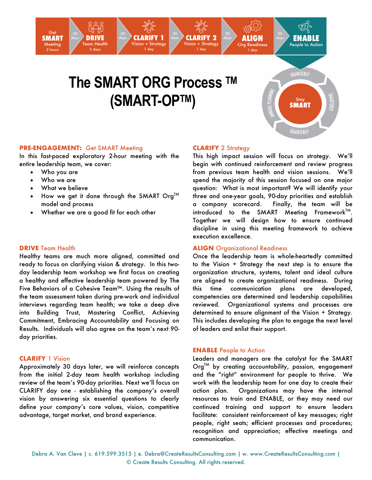# **The SMART ORG Process TM (SMART-OPTM)**

**CLARIFY 1** 

ision + Strategy



## **PRE-ENGAGEMENT:** Get SMART Meeting

In this fast-paced exploratory 2-hour meeting with the entire leadership team, we cover:

**DRIVE** 

Team Health

2 days

- Who you are
- Who we are

Get

**SMART** 

Meeting

2 hour

- What we believe
- How we get it done through the SMART  $Org^{TM}$ model and process
- Whether we are a good fit for each other

## **DRIVE** Team Health

Healthy teams are much more aligned, committed and ready to focus on clarifying vision & strategy. In this twoday leadership team workshop we first focus on creating a healthy and effective leadership team powered by The Five Behaviors of a Cohesive Team™. Using the results of the team assessment taken during pre-work and individual interviews regarding team health; we take a deep dive into Building Trust, Mastering Conflict, Achieving Commitment, Embracing Accountability and Focusing on Results. Individuals will also agree on the team's next 90 day priorities.

#### **CLARIFY** 1 Vision

Approximately 30 days later, we will reinforce concepts from the initial 2-day team health workshop including review of the team's 90-day priorities. Next we'll focus on CLARIFY day one - establishing the company's overall vision by answering six essential questions to clearly define your company's core values, vision, competitive advantage, target market, and brand experience.

# **CLARIFY** 2 Strategy

**CLARIFY 2** 

'ision + Strategy

This high impact session will focus on strategy. We'll begin with continued reinforcement and review progress from previous team health and vision sessions. We'll spend the majority of this session focused on one major question: What is most important? We will identify your three and one-year goals, 90-day priorities and establish a company scorecard. Finally, the team will be introduced to the SMART Meeting Framework $<sup>TM</sup>$ .</sup> Together we will design how to ensure continued discipline in using this meeting framework to achieve execution excellence.

# **ALIGN** Organizational Readiness

Once the leadership team is whole-heartedly committed to the Vision + Strategy the next step is to ensure the organization structure, systems, talent and ideal culture are aligned to create organizational readiness. During this time communication plans are developed, competencies are determined and leadership capabilities reviewed. Organizational systems and processes are determined to ensure alignment of the Vision + Strategy. This includes developing the plan to engage the next level of leaders and enlist their support.

#### **ENABLE** People to Action

Leaders and managers are the catalyst for the SMART Org<sup>TM</sup> by creating accountability, passion, engagement and the "right" environment for people to thrive. We work with the leadership team for one day to create their action plan. Organizations may have the internal resources to train and ENABLE, or they may need our continued training and support to ensure leaders facilitate: consistent reinforcement of key messages; right people, right seats; efficient processes and procedures; recognition and appreciation; effective meetings and communication.